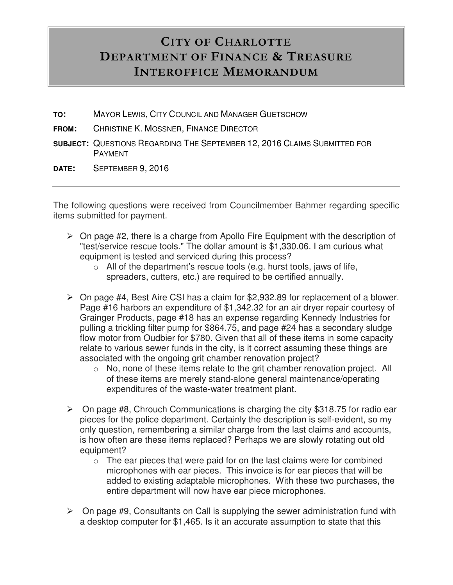## **CITY OF CHARLOTTE DEPARTMENT OF FINANCE & TREASURE INTEROFFICE MEMORANDUM**

- **TO:** MAYOR LEWIS, CITY COUNCIL AND MANAGER GUETSCHOW
- **FROM:** CHRISTINE K. MOSSNER, FINANCE DIRECTOR
- **SUBJECT:** QUESTIONS REGARDING THE SEPTEMBER 12, 2016 CLAIMS SUBMITTED FOR PAYMENT
- **DATE:** SEPTEMBER 9, 2016

The following questions were received from Councilmember Bahmer regarding specific items submitted for payment.

- $\triangleright$  On page #2, there is a charge from Apollo Fire Equipment with the description of "test/service rescue tools." The dollar amount is \$1,330.06. I am curious what equipment is tested and serviced during this process?
	- $\circ$  All of the department's rescue tools (e.g. hurst tools, jaws of life, spreaders, cutters, etc.) are required to be certified annually.
- On page #4, Best Aire CSI has a claim for \$2,932.89 for replacement of a blower. Page #16 harbors an expenditure of \$1,342.32 for an air dryer repair courtesy of Grainger Products, page #18 has an expense regarding Kennedy Industries for pulling a trickling filter pump for \$864.75, and page #24 has a secondary sludge flow motor from Oudbier for \$780. Given that all of these items in some capacity relate to various sewer funds in the city, is it correct assuming these things are associated with the ongoing grit chamber renovation project?
	- o No, none of these items relate to the grit chamber renovation project. All of these items are merely stand-alone general maintenance/operating expenditures of the waste-water treatment plant.
- $\triangleright$  On page #8, Chrouch Communications is charging the city \$318.75 for radio ear pieces for the police department. Certainly the description is self-evident, so my only question, remembering a similar charge from the last claims and accounts, is how often are these items replaced? Perhaps we are slowly rotating out old equipment?
	- $\circ$  The ear pieces that were paid for on the last claims were for combined microphones with ear pieces. This invoice is for ear pieces that will be added to existing adaptable microphones. With these two purchases, the entire department will now have ear piece microphones.
- $\triangleright$  On page #9, Consultants on Call is supplying the sewer administration fund with a desktop computer for \$1,465. Is it an accurate assumption to state that this